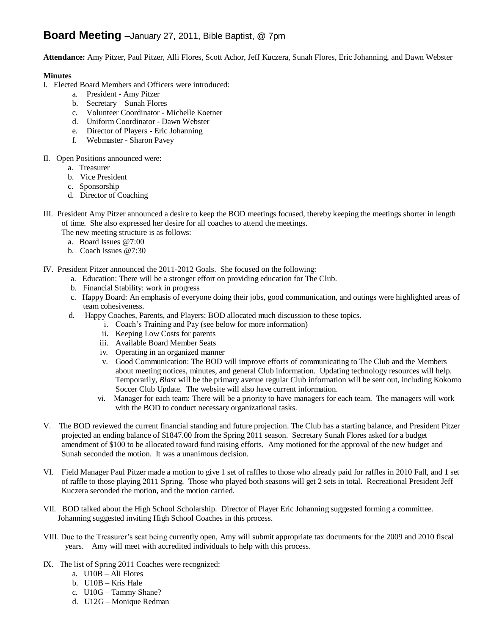# **Board Meeting** –January 27, 2011, Bible Baptist, @ 7pm

**Attendance:** Amy Pitzer, Paul Pitzer, Alli Flores, Scott Achor, Jeff Kuczera, Sunah Flores, Eric Johanning, and Dawn Webster

# **Minutes**

- I. Elected Board Members and Officers were introduced:
	- a. President Amy Pitzer
	- b. Secretary Sunah Flores
	- c. Volunteer Coordinator Michelle Koetner
	- d. Uniform Coordinator Dawn Webster
	- e. Director of Players Eric Johanning
	- f. Webmaster Sharon Pavey
- II. Open Positions announced were:
	- a. Treasurer
	- b. Vice President
	- c. Sponsorship
	- d. Director of Coaching
- III. President Amy Pitzer announced a desire to keep the BOD meetings focused, thereby keeping the meetings shorter in length of time. She also expressed her desire for all coaches to attend the meetings.

The new meeting structure is as follows:

- a. Board Issues @7:00
- b. Coach Issues @7:30
- IV. President Pitzer announced the 2011-2012 Goals. She focused on the following:
	- a. Education: There will be a stronger effort on providing education for The Club.
	- b. Financial Stability: work in progress
	- c. Happy Board: An emphasis of everyone doing their jobs, good communication, and outings were highlighted areas of team cohesiveness.
	- d. Happy Coaches, Parents, and Players: BOD allocated much discussion to these topics.
		- i. Coach's Training and Pay (see below for more information)
		- ii. Keeping Low Costs for parents
		- iii. Available Board Member Seats
		- iv. Operating in an organized manner
		- v. Good Communication: The BOD will improve efforts of communicating to The Club and the Members about meeting notices, minutes, and general Club information. Updating technology resources will help. Temporarily, *Blast* will be the primary avenue regular Club information will be sent out, including Kokomo Soccer Club Update. The website will also have current information.
		- vi. Manager for each team: There will be a priority to have managers for each team. The managers will work with the BOD to conduct necessary organizational tasks.
- V. The BOD reviewed the current financial standing and future projection. The Club has a starting balance, and President Pitzer projected an ending balance of \$1847.00 from the Spring 2011 season. Secretary Sunah Flores asked for a budget amendment of \$100 to be allocated toward fund raising efforts. Amy motioned for the approval of the new budget and Sunah seconded the motion. It was a unanimous decision.
- VI. Field Manager Paul Pitzer made a motion to give 1 set of raffles to those who already paid for raffles in 2010 Fall, and 1 set of raffle to those playing 2011 Spring. Those who played both seasons will get 2 sets in total. Recreational President Jeff Kuczera seconded the motion, and the motion carried.
- VII. BOD talked about the High School Scholarship. Director of Player Eric Johanning suggested forming a committee. Johanning suggested inviting High School Coaches in this process.
- VIII. Due to the Treasurer's seat being currently open, Amy will submit appropriate tax documents for the 2009 and 2010 fiscal years. Amy will meet with accredited individuals to help with this process.
- IX. The list of Spring 2011 Coaches were recognized:
	- a. U10B Ali Flores
	- b. U10B Kris Hale
	- c. U10G Tammy Shane?
	- d. U12G Monique Redman